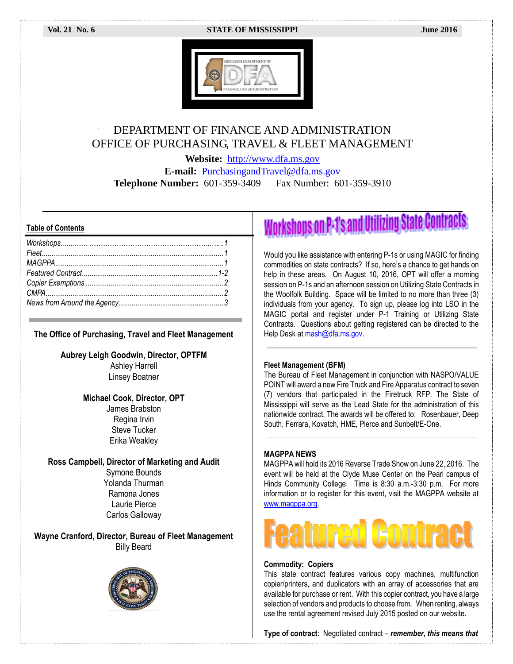#### **Vol. 21 No. 6 STATE OF MISSISSIPPI June 2016**



### DEPARTMENT OF FINANCE AND ADMINISTRATION OFFICE OF PURCHASING, TRAVEL & FLEET MANAGEMENT

**Website:** [http://www.dfa.ms.gov](http://www.dfa.ms.gov/) **E-mail:** [PurchasingandTravel@dfa.ms.gov](mailto:PurchasingandTravel@dfa.ms.gov) **Telephone Number:** 601-359-3409 Fax Number: 601-359-3910

#### **Table of Contents**

#### **The Office of Purchasing, Travel and Fleet Management**

**Aubrey Leigh Goodwin, Director, OPTFM** Ashley Harrell Linsey Boatner

#### **Michael Cook, Director, OPT**

James Brabston Regina Irvin Steve Tucker Erika Weakley

#### **Ross Campbell, Director of Marketing and Audit**

Symone Bounds Yolanda Thurman Ramona Jones Laurie Pierce Carlos Galloway

**Wayne Cranford, Director, Bureau of Fleet Management** Billy Beard



# **Workshops on P-1's and Utilizing State Contracts**

Would you like assistance with entering P-1s or using MAGIC for finding commodities on state contracts? If so, here's a chance to get hands on help in these areas. On August 10, 2016, OPT will offer a morning session on P-1s and an afternoon session on Utilizing State Contracts in the Woolfolk Building. Space will be limited to no more than three (3) individuals from your agency. To sign up, please log into LSO in the MAGIC portal and register under P-1 Training or Utilizing State Contracts. Questions about getting registered can be directed to the Help Desk at mash@dfa.ms.gov.

#### **Fleet Management (BFM)**

The Bureau of Fleet Management in conjunction with NASPO/VALUE POINT will award a new Fire Truck and Fire Apparatus contract to seven (7) vendors that participated in the Firetruck RFP. The State of Mississippi will serve as the Lead State for the administration of this nationwide contract. The awards will be offered to: Rosenbauer, Deep South, Ferrara, Kovatch, HME, Pierce and Sunbelt/E-One.

#### **MAGPPA NEWS**

MAGPPA will hold its 2016 Reverse Trade Show on June 22, 2016. The event will be held at the Clyde Muse Center on the Pearl campus of Hinds Community College. Time is 8:30 a.m.-3:30 p.m. For more information or to register for this event, visit the MAGPPA website at [www.magppa.org.](http://www.magppa.org/)



#### **Commodity: Copiers**

This state contract features various copy machines, multifunction copier/printers, and duplicators with an array of accessories that are available for purchase or rent. With this copier contract, you have a large selection of vendors and products to choose from. When renting, always use the rental agreement revised July 2015 posted on our website.

**Type of contract**: Negotiated contract – *remember, this means that*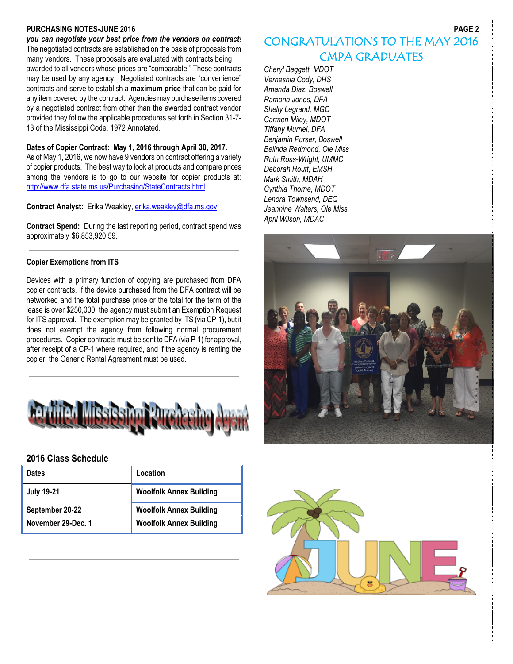#### **PURCHASING NOTES-JUNE 2016**

*you can negotiate your best price from the vendors on contract!*  The negotiated contracts are established on the basis of proposals from many vendors. These proposals are evaluated with contracts being awarded to all vendors whose prices are "comparable." These contracts may be used by any agency. Negotiated contracts are "convenience" contracts and serve to establish a **maximum price** that can be paid for any item covered by the contract. Agencies may purchase items covered by a negotiated contract from other than the awarded contract vendor provided they follow the applicable procedures set forth in Section 31-7- 13 of the Mississippi Code, 1972 Annotated.

#### **Dates of Copier Contract: May 1, 2016 through April 30, 2017.**

As of May 1, 2016, we now have 9 vendors on contract offering a variety of copier products. The best way to look at products and compare prices among the vendors is to go to our website for copier products at: <http://www.dfa.state.ms.us/Purchasing/StateContracts.html>

**Contract Analyst:** Erika Weakley, [erika.weakley@dfa.ms.gov](mailto:erika.weakley@dfa.ms.gov)

**Contract Spend:** During the last reporting period, contract spend was approximately \$6,853,920.59.

#### **Copier Exemptions from ITS**

Devices with a primary function of copying are purchased from DFA copier contracts. If the device purchased from the DFA contract will be networked and the total purchase price or the total for the term of the lease is over \$250,000, the agency must submit an Exemption Request for ITS approval. The exemption may be granted by ITS (via CP-1), but it does not exempt the agency from following normal procurement procedures. Copier contracts must be sent to DFA (via P-1) for approval, after receipt of a CP-1 where required, and if the agency is renting the copier, the Generic Rental Agreement must be used.



#### **2016 Class Schedule**

| <b>Dates</b>       | Location                       |
|--------------------|--------------------------------|
| <b>July 19-21</b>  | <b>Woolfolk Annex Building</b> |
| September 20-22    | <b>Woolfolk Annex Building</b> |
| November 29-Dec. 1 | <b>Woolfolk Annex Building</b> |

## CONGRATULATIONS TO THE MAY 2016 CMPA GRADUATES

*Cheryl Baggett, MDOT Verneshia Cody, DHS Amanda Diaz, Boswell Ramona Jones, DFA Shelly Legrand, MGC Carmen Miley, MDOT Tiffany Murriel, DFA Benjamin Purser, Boswell Belinda Redmond, Ole Miss Ruth Ross-Wright, UMMC Deborah Routt, EMSH Mark Smith, MDAH Cynthia Thorne, MDOT Lenora Townsend, DEQ Jeannine Walters, Ole Miss April Wilson, MDAC*





**PAGE 2**